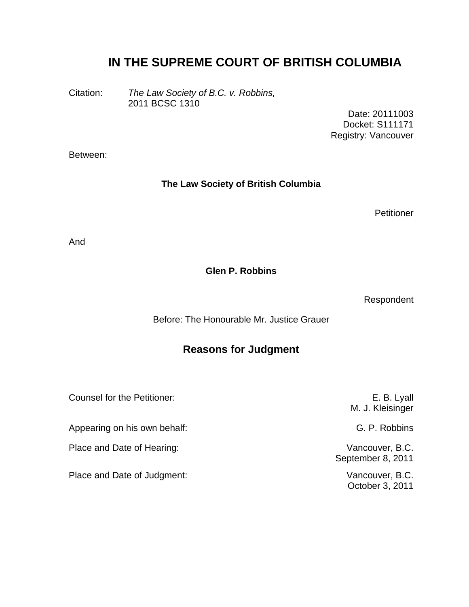# **IN THE SUPREME COURT OF BRITISH COLUMBIA**

Citation: *The Law Society of B.C. v. Robbins,* 2011 BCSC 1310

> Date: 20111003 Docket: S111171 Registry: Vancouver

Between:

#### **The Law Society of British Columbia**

**Petitioner** 

And

**Glen P. Robbins**

Respondent

Before: The Honourable Mr. Justice Grauer

### **Reasons for Judgment**

Counsel for the Petitioner: Counsel for the Petitioner:

Appearing on his own behalf: G. P. Robbins

Place and Date of Hearing: Vancouver, B.C.

Place and Date of Judgment: Vancouver, B.C.

M. J. Kleisinger September 8, 2011

October 3, 2011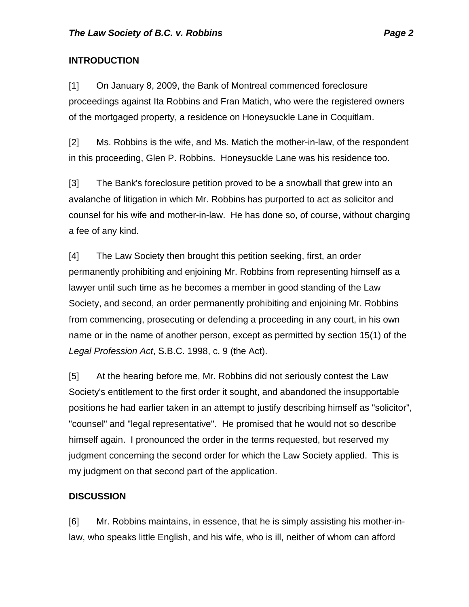### **INTRODUCTION**

[1] On January 8, 2009, the Bank of Montreal commenced foreclosure proceedings against Ita Robbins and Fran Matich, who were the registered owners of the mortgaged property, a residence on Honeysuckle Lane in Coquitlam.

[2] Ms. Robbins is the wife, and Ms. Matich the mother-in-law, of the respondent in this proceeding, Glen P. Robbins. Honeysuckle Lane was his residence too.

[3] The Bank's foreclosure petition proved to be a snowball that grew into an avalanche of litigation in which Mr. Robbins has purported to act as solicitor and counsel for his wife and mother-in-law. He has done so, of course, without charging a fee of any kind.

[4] The Law Society then brought this petition seeking, first, an order permanently prohibiting and enjoining Mr. Robbins from representing himself as a lawyer until such time as he becomes a member in good standing of the Law Society, and second, an order permanently prohibiting and enjoining Mr. Robbins from commencing, prosecuting or defending a proceeding in any court, in his own name or in the name of another person, except as permitted by section 15(1) of the *Legal Profession Act*, S.B.C. 1998, c. 9 (the Act).

[5] At the hearing before me, Mr. Robbins did not seriously contest the Law Society's entitlement to the first order it sought, and abandoned the insupportable positions he had earlier taken in an attempt to justify describing himself as "solicitor", "counsel" and "legal representative". He promised that he would not so describe himself again. I pronounced the order in the terms requested, but reserved my judgment concerning the second order for which the Law Society applied. This is my judgment on that second part of the application.

### **DISCUSSION**

[6] Mr. Robbins maintains, in essence, that he is simply assisting his mother-inlaw, who speaks little English, and his wife, who is ill, neither of whom can afford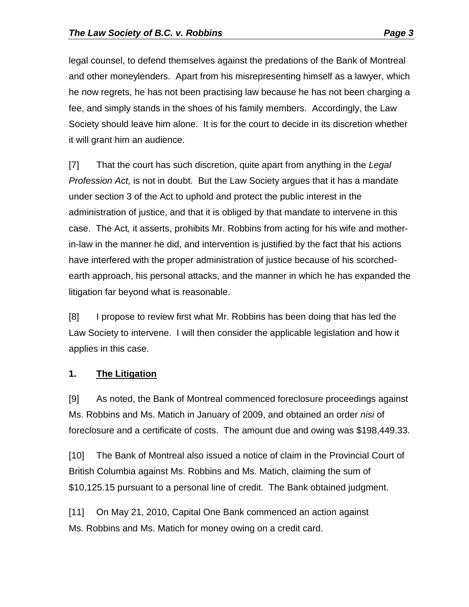legal counsel, to defend themselves against the predations of the Bank of Montreal and other moneylenders. Apart from his misrepresenting himself as a lawyer, which he now regrets, he has not been practising law because he has not been charging a fee, and simply stands in the shoes of his family members. Accordingly, the Law Society should leave him alone. It is for the court to decide in its discretion whether it will grant him an audience.

[7] That the court has such discretion, quite apart from anything in the *Legal Profession Act,* is not in doubt. But the Law Society argues that it has a mandate under section 3 of the Act to uphold and protect the public interest in the administration of justice, and that it is obliged by that mandate to intervene in this case. The Act*,* it asserts, prohibits Mr. Robbins from acting for his wife and motherin-law in the manner he did, and intervention is justified by the fact that his actions have interfered with the proper administration of justice because of his scorchedearth approach, his personal attacks, and the manner in which he has expanded the litigation far beyond what is reasonable.

[8] I propose to review first what Mr. Robbins has been doing that has led the Law Society to intervene. I will then consider the applicable legislation and how it applies in this case.

#### **1. The Litigation**

[9] As noted, the Bank of Montreal commenced foreclosure proceedings against Ms. Robbins and Ms. Matich in January of 2009, and obtained an order *nisi* of foreclosure and a certificate of costs. The amount due and owing was \$198,449.33.

[10] The Bank of Montreal also issued a notice of claim in the Provincial Court of British Columbia against Ms. Robbins and Ms. Matich, claiming the sum of \$10,125.15 pursuant to a personal line of credit. The Bank obtained judgment.

[11] On May 21, 2010, Capital One Bank commenced an action against Ms. Robbins and Ms. Matich for money owing on a credit card.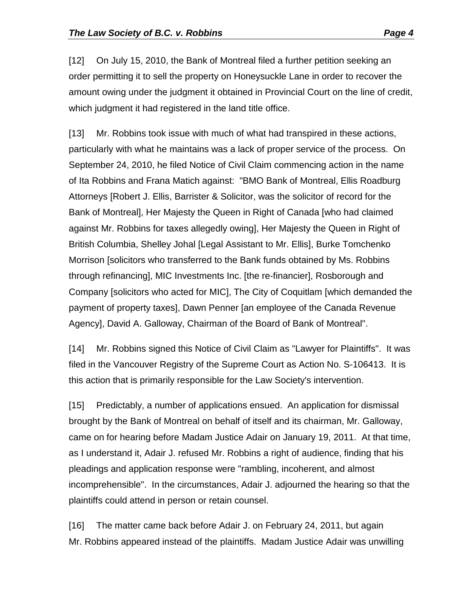[12] On July 15, 2010, the Bank of Montreal filed a further petition seeking an order permitting it to sell the property on Honeysuckle Lane in order to recover the amount owing under the judgment it obtained in Provincial Court on the line of credit, which judgment it had registered in the land title office.

[13] Mr. Robbins took issue with much of what had transpired in these actions, particularly with what he maintains was a lack of proper service of the process. On September 24, 2010, he filed Notice of Civil Claim commencing action in the name of Ita Robbins and Frana Matich against: "BMO Bank of Montreal, Ellis Roadburg Attorneys [Robert J. Ellis, Barrister & Solicitor, was the solicitor of record for the Bank of Montreal], Her Majesty the Queen in Right of Canada [who had claimed against Mr. Robbins for taxes allegedly owing], Her Majesty the Queen in Right of British Columbia, Shelley Johal [Legal Assistant to Mr. Ellis], Burke Tomchenko Morrison [solicitors who transferred to the Bank funds obtained by Ms. Robbins through refinancing], MIC Investments Inc. [the re-financier], Rosborough and Company [solicitors who acted for MIC], The City of Coquitlam [which demanded the payment of property taxes], Dawn Penner [an employee of the Canada Revenue Agency], David A. Galloway, Chairman of the Board of Bank of Montreal".

[14] Mr. Robbins signed this Notice of Civil Claim as "Lawyer for Plaintiffs". It was filed in the Vancouver Registry of the Supreme Court as Action No. S-106413. It is this action that is primarily responsible for the Law Society's intervention.

[15] Predictably, a number of applications ensued. An application for dismissal brought by the Bank of Montreal on behalf of itself and its chairman, Mr. Galloway, came on for hearing before Madam Justice Adair on January 19, 2011. At that time, as I understand it, Adair J. refused Mr. Robbins a right of audience, finding that his pleadings and application response were "rambling, incoherent, and almost incomprehensible". In the circumstances, Adair J. adjourned the hearing so that the plaintiffs could attend in person or retain counsel.

[16] The matter came back before Adair J. on February 24, 2011, but again Mr. Robbins appeared instead of the plaintiffs. Madam Justice Adair was unwilling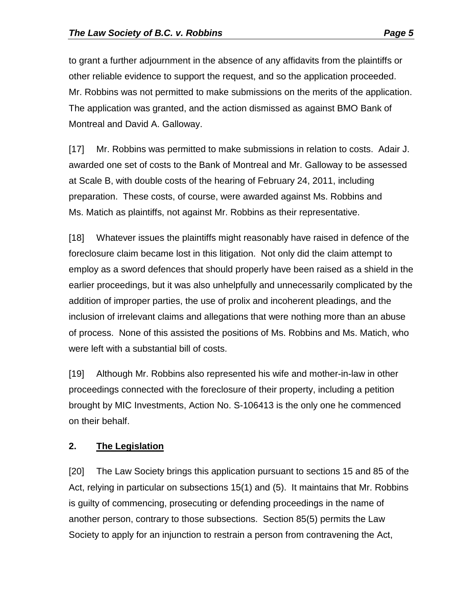to grant a further adjournment in the absence of any affidavits from the plaintiffs or other reliable evidence to support the request, and so the application proceeded. Mr. Robbins was not permitted to make submissions on the merits of the application. The application was granted, and the action dismissed as against BMO Bank of Montreal and David A. Galloway.

[17] Mr. Robbins was permitted to make submissions in relation to costs. Adair J. awarded one set of costs to the Bank of Montreal and Mr. Galloway to be assessed at Scale B, with double costs of the hearing of February 24, 2011, including preparation. These costs, of course, were awarded against Ms. Robbins and Ms. Matich as plaintiffs, not against Mr. Robbins as their representative.

[18] Whatever issues the plaintiffs might reasonably have raised in defence of the foreclosure claim became lost in this litigation. Not only did the claim attempt to employ as a sword defences that should properly have been raised as a shield in the earlier proceedings, but it was also unhelpfully and unnecessarily complicated by the addition of improper parties, the use of prolix and incoherent pleadings, and the inclusion of irrelevant claims and allegations that were nothing more than an abuse of process. None of this assisted the positions of Ms. Robbins and Ms. Matich, who were left with a substantial bill of costs.

[19] Although Mr. Robbins also represented his wife and mother-in-law in other proceedings connected with the foreclosure of their property, including a petition brought by MIC Investments, Action No. S-106413 is the only one he commenced on their behalf.

#### **2. The Legislation**

[20] The Law Society brings this application pursuant to sections 15 and 85 of the Act, relying in particular on subsections 15(1) and (5). It maintains that Mr. Robbins is guilty of commencing, prosecuting or defending proceedings in the name of another person, contrary to those subsections. Section 85(5) permits the Law Society to apply for an injunction to restrain a person from contravening the Act,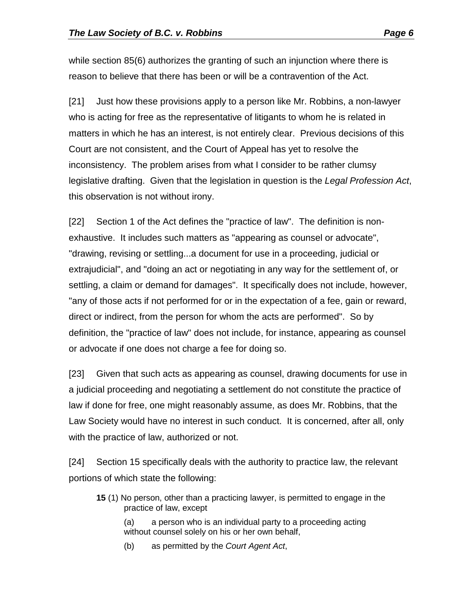while section 85(6) authorizes the granting of such an injunction where there is reason to believe that there has been or will be a contravention of the Act.

[21] Just how these provisions apply to a person like Mr. Robbins, a non-lawyer who is acting for free as the representative of litigants to whom he is related in matters in which he has an interest, is not entirely clear. Previous decisions of this Court are not consistent, and the Court of Appeal has yet to resolve the inconsistency. The problem arises from what I consider to be rather clumsy legislative drafting. Given that the legislation in question is the *Legal Profession Act*, this observation is not without irony.

[22] Section 1 of the Act defines the "practice of law". The definition is nonexhaustive. It includes such matters as "appearing as counsel or advocate", "drawing, revising or settling...a document for use in a proceeding, judicial or extrajudicial", and "doing an act or negotiating in any way for the settlement of, or settling, a claim or demand for damages". It specifically does not include, however, "any of those acts if not performed for or in the expectation of a fee, gain or reward, direct or indirect, from the person for whom the acts are performed". So by definition, the "practice of law" does not include, for instance, appearing as counsel or advocate if one does not charge a fee for doing so.

[23] Given that such acts as appearing as counsel, drawing documents for use in a judicial proceeding and negotiating a settlement do not constitute the practice of law if done for free, one might reasonably assume, as does Mr. Robbins, that the Law Society would have no interest in such conduct. It is concerned, after all, only with the practice of law, authorized or not.

[24] Section 15 specifically deals with the authority to practice law, the relevant portions of which state the following:

- **15** (1) No person, other than a practicing lawyer, is permitted to engage in the practice of law, except
	- (a) a person who is an individual party to a proceeding acting without counsel solely on his or her own behalf,
	- (b) as permitted by the *Court Agent Act*,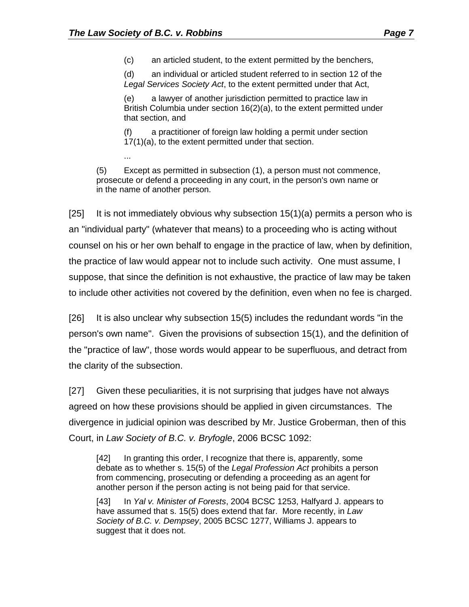...

(c) an articled student, to the extent permitted by the benchers,

(d) an individual or articled student referred to in section 12 of the *Legal Services Society Act*, to the extent permitted under that Act,

(e) a lawyer of another jurisdiction permitted to practice law in British Columbia under section 16(2)(a), to the extent permitted under that section, and

(f) a practitioner of foreign law holding a permit under section 17(1)(a), to the extent permitted under that section.

(5) Except as permitted in subsection (1), a person must not commence, prosecute or defend a proceeding in any court, in the person's own name or in the name of another person.

[25] It is not immediately obvious why subsection  $15(1)(a)$  permits a person who is an "individual party" (whatever that means) to a proceeding who is acting without counsel on his or her own behalf to engage in the practice of law, when by definition, the practice of law would appear not to include such activity. One must assume, I suppose, that since the definition is not exhaustive, the practice of law may be taken to include other activities not covered by the definition, even when no fee is charged.

[26] It is also unclear why subsection 15(5) includes the redundant words "in the person's own name". Given the provisions of subsection 15(1), and the definition of the "practice of law", those words would appear to be superfluous, and detract from the clarity of the subsection.

[27] Given these peculiarities, it is not surprising that judges have not always agreed on how these provisions should be applied in given circumstances. The divergence in judicial opinion was described by Mr. Justice Groberman, then of this Court, in *Law Society of B.C. v. Bryfogle*, 2006 BCSC 1092:

[42] In granting this order, I recognize that there is, apparently, some debate as to whether s. 15(5) of the *Legal Profession Act* prohibits a person from commencing, prosecuting or defending a proceeding as an agent for another person if the person acting is not being paid for that service.

[43] In *Yal v. Minister of Forests*, 2004 BCSC 1253, Halfyard J. appears to have assumed that s. 15(5) does extend that far. More recently, in *Law Society of B.C. v. Dempsey*, 2005 BCSC 1277, Williams J. appears to suggest that it does not.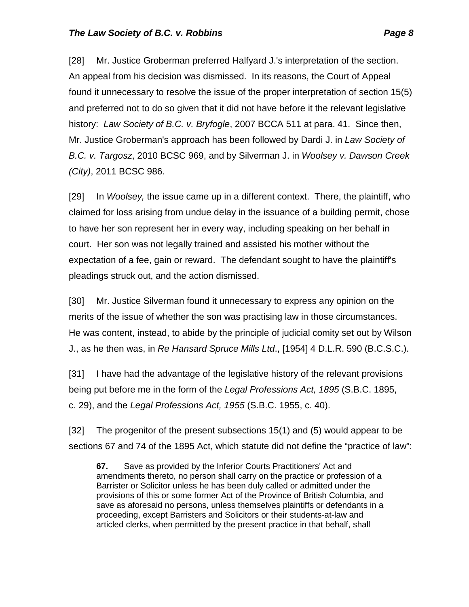[28] Mr. Justice Groberman preferred Halfyard J.'s interpretation of the section. An appeal from his decision was dismissed. In its reasons, the Court of Appeal found it unnecessary to resolve the issue of the proper interpretation of section 15(5) and preferred not to do so given that it did not have before it the relevant legislative history: *Law Society of B.C. v. Bryfogle*, 2007 BCCA 511 at para. 41. Since then, Mr. Justice Groberman's approach has been followed by Dardi J. in *Law Society of B.C. v. Targosz*, 2010 BCSC 969, and by Silverman J. in *Woolsey v. Dawson Creek (City)*, 2011 BCSC 986.

[29] In *Woolsey,* the issue came up in a different context. There, the plaintiff, who claimed for loss arising from undue delay in the issuance of a building permit, chose to have her son represent her in every way, including speaking on her behalf in court. Her son was not legally trained and assisted his mother without the expectation of a fee, gain or reward. The defendant sought to have the plaintiff's pleadings struck out, and the action dismissed.

[30] Mr. Justice Silverman found it unnecessary to express any opinion on the merits of the issue of whether the son was practising law in those circumstances. He was content, instead, to abide by the principle of judicial comity set out by Wilson J., as he then was, in *Re Hansard Spruce Mills Ltd*., [1954] 4 D.L.R. 590 (B.C.S.C.).

[31] I have had the advantage of the legislative history of the relevant provisions being put before me in the form of the *Legal Professions Act, 1895* (S.B.C. 1895, c. 29), and the *Legal Professions Act, 1955* (S.B.C. 1955, c. 40).

[32] The progenitor of the present subsections 15(1) and (5) would appear to be sections 67 and 74 of the 1895 Act, which statute did not define the "practice of law":

**67.** Save as provided by the Inferior Courts Practitioners' Act and amendments thereto, no person shall carry on the practice or profession of a Barrister or Solicitor unless he has been duly called or admitted under the provisions of this or some former Act of the Province of British Columbia, and save as aforesaid no persons, unless themselves plaintiffs or defendants in a proceeding, except Barristers and Solicitors or their students-at-law and articled clerks, when permitted by the present practice in that behalf, shall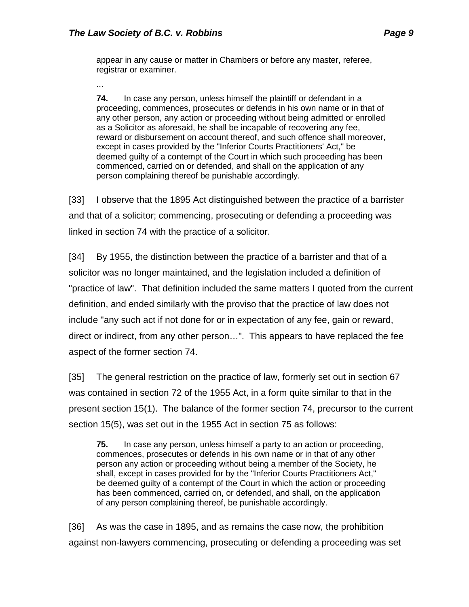appear in any cause or matter in Chambers or before any master, referee, registrar or examiner.

...

**74.** In case any person, unless himself the plaintiff or defendant in a proceeding, commences, prosecutes or defends in his own name or in that of any other person, any action or proceeding without being admitted or enrolled as a Solicitor as aforesaid, he shall be incapable of recovering any fee, reward or disbursement on account thereof, and such offence shall moreover, except in cases provided by the "Inferior Courts Practitioners' Act," be deemed guilty of a contempt of the Court in which such proceeding has been commenced, carried on or defended, and shall on the application of any person complaining thereof be punishable accordingly.

[33] I observe that the 1895 Act distinguished between the practice of a barrister and that of a solicitor; commencing, prosecuting or defending a proceeding was linked in section 74 with the practice of a solicitor.

[34] By 1955, the distinction between the practice of a barrister and that of a solicitor was no longer maintained, and the legislation included a definition of "practice of law". That definition included the same matters I quoted from the current definition, and ended similarly with the proviso that the practice of law does not include "any such act if not done for or in expectation of any fee, gain or reward, direct or indirect, from any other person…". This appears to have replaced the fee aspect of the former section 74.

[35] The general restriction on the practice of law, formerly set out in section 67 was contained in section 72 of the 1955 Act, in a form quite similar to that in the present section 15(1). The balance of the former section 74, precursor to the current section 15(5), was set out in the 1955 Act in section 75 as follows:

**75.** In case any person, unless himself a party to an action or proceeding, commences, prosecutes or defends in his own name or in that of any other person any action or proceeding without being a member of the Society, he shall, except in cases provided for by the "Inferior Courts Practitioners Act," be deemed guilty of a contempt of the Court in which the action or proceeding has been commenced, carried on, or defended, and shall, on the application of any person complaining thereof, be punishable accordingly.

[36] As was the case in 1895, and as remains the case now, the prohibition against non-lawyers commencing, prosecuting or defending a proceeding was set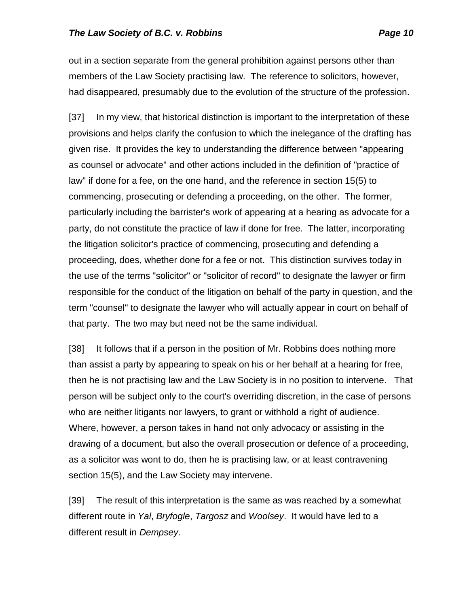out in a section separate from the general prohibition against persons other than members of the Law Society practising law. The reference to solicitors, however, had disappeared, presumably due to the evolution of the structure of the profession.

[37] In my view, that historical distinction is important to the interpretation of these provisions and helps clarify the confusion to which the inelegance of the drafting has given rise. It provides the key to understanding the difference between "appearing as counsel or advocate" and other actions included in the definition of "practice of law" if done for a fee, on the one hand, and the reference in section 15(5) to commencing, prosecuting or defending a proceeding, on the other. The former, particularly including the barrister's work of appearing at a hearing as advocate for a party, do not constitute the practice of law if done for free. The latter, incorporating the litigation solicitor's practice of commencing, prosecuting and defending a proceeding, does, whether done for a fee or not. This distinction survives today in the use of the terms "solicitor" or "solicitor of record" to designate the lawyer or firm responsible for the conduct of the litigation on behalf of the party in question, and the term "counsel" to designate the lawyer who will actually appear in court on behalf of that party. The two may but need not be the same individual.

[38] It follows that if a person in the position of Mr. Robbins does nothing more than assist a party by appearing to speak on his or her behalf at a hearing for free, then he is not practising law and the Law Society is in no position to intervene. That person will be subject only to the court's overriding discretion, in the case of persons who are neither litigants nor lawyers, to grant or withhold a right of audience. Where, however, a person takes in hand not only advocacy or assisting in the drawing of a document, but also the overall prosecution or defence of a proceeding, as a solicitor was wont to do, then he is practising law, or at least contravening section 15(5), and the Law Society may intervene.

[39] The result of this interpretation is the same as was reached by a somewhat different route in *Yal*, *Bryfogle*, *Targosz* and *Woolsey*. It would have led to a different result in *Dempsey*.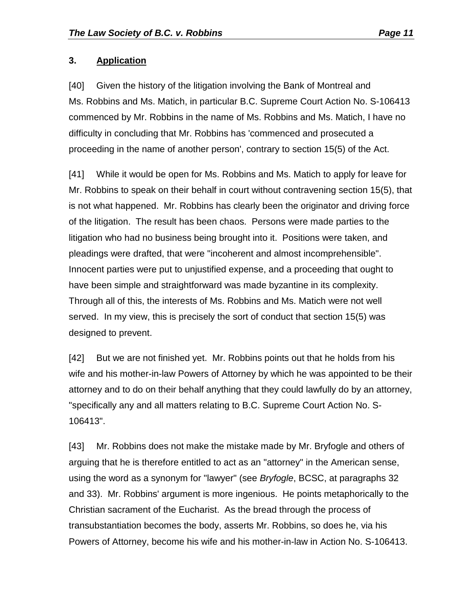#### **3. Application**

[40] Given the history of the litigation involving the Bank of Montreal and Ms. Robbins and Ms. Matich, in particular B.C. Supreme Court Action No. S-106413 commenced by Mr. Robbins in the name of Ms. Robbins and Ms. Matich, I have no difficulty in concluding that Mr. Robbins has 'commenced and prosecuted a proceeding in the name of another person', contrary to section 15(5) of the Act.

[41] While it would be open for Ms. Robbins and Ms. Matich to apply for leave for Mr. Robbins to speak on their behalf in court without contravening section 15(5), that is not what happened. Mr. Robbins has clearly been the originator and driving force of the litigation. The result has been chaos. Persons were made parties to the litigation who had no business being brought into it. Positions were taken, and pleadings were drafted, that were "incoherent and almost incomprehensible". Innocent parties were put to unjustified expense, and a proceeding that ought to have been simple and straightforward was made byzantine in its complexity. Through all of this, the interests of Ms. Robbins and Ms. Matich were not well served. In my view, this is precisely the sort of conduct that section 15(5) was designed to prevent.

[42] But we are not finished yet. Mr. Robbins points out that he holds from his wife and his mother-in-law Powers of Attorney by which he was appointed to be their attorney and to do on their behalf anything that they could lawfully do by an attorney, "specifically any and all matters relating to B.C. Supreme Court Action No. S-106413".

[43] Mr. Robbins does not make the mistake made by Mr. Bryfogle and others of arguing that he is therefore entitled to act as an "attorney" in the American sense, using the word as a synonym for "lawyer" (see *Bryfogle*, BCSC, at paragraphs 32 and 33). Mr. Robbins' argument is more ingenious. He points metaphorically to the Christian sacrament of the Eucharist. As the bread through the process of transubstantiation becomes the body, asserts Mr. Robbins, so does he, via his Powers of Attorney, become his wife and his mother-in-law in Action No. S-106413.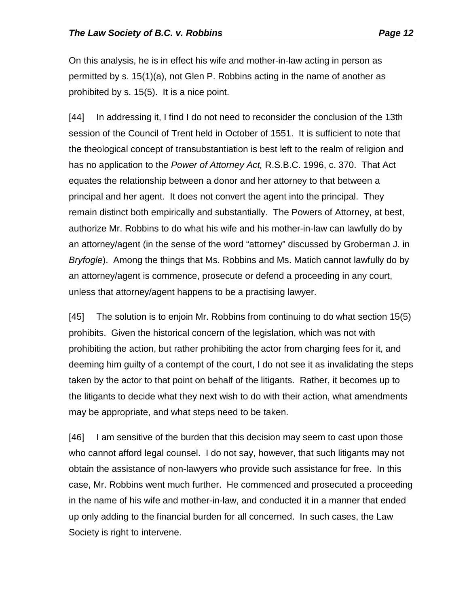On this analysis, he is in effect his wife and mother-in-law acting in person as permitted by s. 15(1)(a), not Glen P. Robbins acting in the name of another as prohibited by s. 15(5). It is a nice point.

[44] In addressing it, I find I do not need to reconsider the conclusion of the 13th session of the Council of Trent held in October of 1551. It is sufficient to note that the theological concept of transubstantiation is best left to the realm of religion and has no application to the *Power of Attorney Act,* R.S.B.C. 1996, c. 370. That Act equates the relationship between a donor and her attorney to that between a principal and her agent. It does not convert the agent into the principal. They remain distinct both empirically and substantially. The Powers of Attorney, at best, authorize Mr. Robbins to do what his wife and his mother-in-law can lawfully do by an attorney/agent (in the sense of the word "attorney" discussed by Groberman J. in *Bryfogle*). Among the things that Ms. Robbins and Ms. Matich cannot lawfully do by an attorney/agent is commence, prosecute or defend a proceeding in any court, unless that attorney/agent happens to be a practising lawyer.

[45] The solution is to enjoin Mr. Robbins from continuing to do what section 15(5) prohibits. Given the historical concern of the legislation, which was not with prohibiting the action, but rather prohibiting the actor from charging fees for it, and deeming him guilty of a contempt of the court, I do not see it as invalidating the steps taken by the actor to that point on behalf of the litigants. Rather, it becomes up to the litigants to decide what they next wish to do with their action, what amendments may be appropriate, and what steps need to be taken.

[46] I am sensitive of the burden that this decision may seem to cast upon those who cannot afford legal counsel. I do not say, however, that such litigants may not obtain the assistance of non-lawyers who provide such assistance for free. In this case, Mr. Robbins went much further. He commenced and prosecuted a proceeding in the name of his wife and mother-in-law, and conducted it in a manner that ended up only adding to the financial burden for all concerned. In such cases, the Law Society is right to intervene.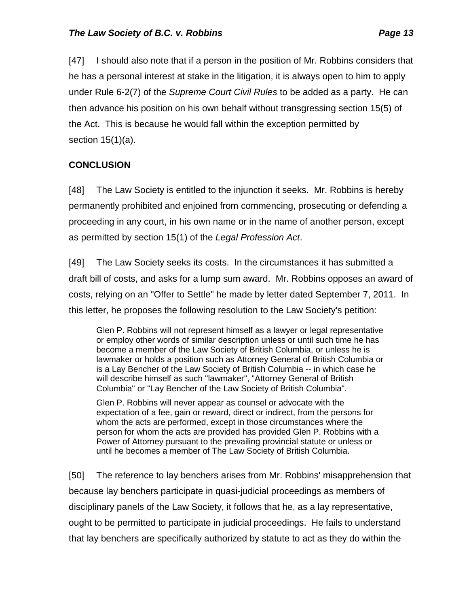[47] I should also note that if a person in the position of Mr. Robbins considers that he has a personal interest at stake in the litigation, it is always open to him to apply

under Rule 6-2(7) of the *Supreme Court Civil Rules* to be added as a party. He can then advance his position on his own behalf without transgressing section 15(5) of the Act. This is because he would fall within the exception permitted by section 15(1)(a).

## **CONCLUSION**

[48] The Law Society is entitled to the injunction it seeks. Mr. Robbins is hereby permanently prohibited and enjoined from commencing, prosecuting or defending a proceeding in any court, in his own name or in the name of another person, except as permitted by section 15(1) of the *Legal Profession Act*.

[49] The Law Society seeks its costs. In the circumstances it has submitted a draft bill of costs, and asks for a lump sum award. Mr. Robbins opposes an award of costs, relying on an "Offer to Settle" he made by letter dated September 7, 2011. In this letter, he proposes the following resolution to the Law Society's petition:

Glen P. Robbins will not represent himself as a lawyer or legal representative or employ other words of similar description unless or until such time he has become a member of the Law Society of British Columbia, or unless he is lawmaker or holds a position such as Attorney General of British Columbia or is a Lay Bencher of the Law Society of British Columbia -- in which case he will describe himself as such "lawmaker", "Attorney General of British Columbia" or "Lay Bencher of the Law Society of British Columbia".

Glen P. Robbins will never appear as counsel or advocate with the expectation of a fee, gain or reward, direct or indirect, from the persons for whom the acts are performed, except in those circumstances where the person for whom the acts are provided has provided Glen P. Robbins with a Power of Attorney pursuant to the prevailing provincial statute or unless or until he becomes a member of The Law Society of British Columbia.

[50] The reference to lay benchers arises from Mr. Robbins' misapprehension that because lay benchers participate in quasi-judicial proceedings as members of disciplinary panels of the Law Society, it follows that he, as a lay representative, ought to be permitted to participate in judicial proceedings. He fails to understand that lay benchers are specifically authorized by statute to act as they do within the